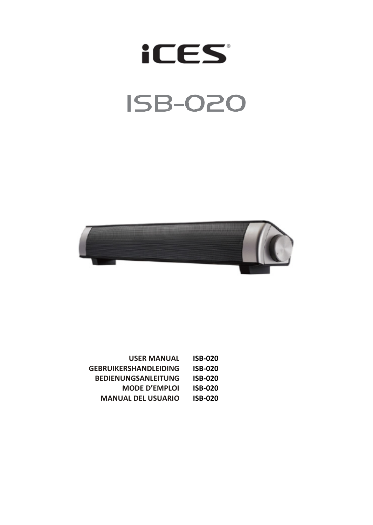# **iCES ISB-020**



| <b>USER MANUAL</b>         | ISB-020 |
|----------------------------|---------|
| GEBRUIKERSHANDLEIDING      | ISB-020 |
| <b>BEDIENUNGSANLEITUNG</b> | ISB-020 |
| <b>MODE D'EMPLOI</b>       | ISB-020 |

**MANUAL DEL USUARIO ISB-020**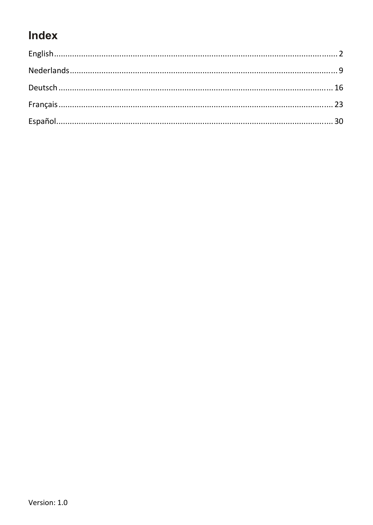### Index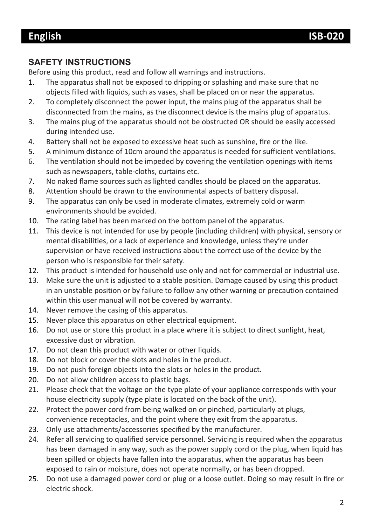#### **SAFETY INSTRUCTIONS**

Before using this product, read and follow all warnings and instructions.

- 1. The apparatus shall not be exposed to dripping or splashing and make sure that no objects filled with liquids, such as vases, shall be placed on or near the apparatus.
- 2. To completely disconnect the power input, the mains plug of the apparatus shall be disconnected from the mains, as the disconnect device is the mains plug of apparatus.
- 3. The mains plug of the apparatus should not be obstructed OR should be easily accessed during intended use.
- 4. Battery shall not be exposed to excessive heat such as sunshine, fire or the like.
- 5. A minimum distance of 10cm around the apparatus is needed for sufficient ventilations.
- 6. The ventilation should not be impeded by covering the ventilation openings with items such as newspapers, table-cloths, curtains etc.
- 7. No naked flame sources such as lighted candles should be placed on the apparatus.
- 8. Attention should be drawn to the environmental aspects of battery disposal.
- 9. The apparatus can only be used in moderate climates, extremely cold or warm environments should be avoided.
- 10. The rating label has been marked on the bottom panel of the apparatus.
- 11. This device is not intended for use by people (including children) with physical, sensory or mental disabilities, or a lack of experience and knowledge, unless they're under supervision or have received instructions about the correct use of the device by the person who is responsible for their safety.
- 12. This product is intended for household use only and not for commercial or industrial use.
- 13. Make sure the unit is adjusted to a stable position. Damage caused by using this product in an unstable position or by failure to follow any other warning or precaution contained within this user manual will not be covered by warranty.
- 14. Never remove the casing of this apparatus.
- 15. Never place this apparatus on other electrical equipment.
- 16. Do not use or store this product in a place where it is subject to direct sunlight, heat, excessive dust or vibration.
- 17. Do not clean this product with water or other liquids.
- 18. Do not block or cover the slots and holes in the product.
- 19. Do not push foreign objects into the slots or holes in the product.
- 20. Do not allow children access to plastic bags.
- 21. Please check that the voltage on the type plate of your appliance corresponds with your house electricity supply (type plate is located on the back of the unit).
- 22. Protect the power cord from being walked on or pinched, particularly at plugs, convenience receptacles, and the point where they exit from the apparatus.
- 23. Only use attachments/accessories specified by the manufacturer.
- 24. Refer all servicing to qualified service personnel. Servicing is required when the apparatus has been damaged in any way, such as the power supply cord or the plug, when liquid has been spilled or objects have fallen into the apparatus, when the apparatus has been exposed to rain or moisture, does not operate normally, or has been dropped.
- 25. Do not use a damaged power cord or plug or a loose outlet. Doing so may result in fire or electric shock.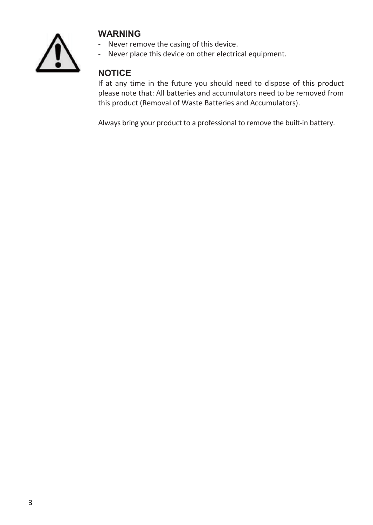

#### **WARNING**

- Never remove the casing of this device.
- Never place this device on other electrical equipment.

### **NOTICE**

If at any time in the future you should need to dispose of this product please note that: All batteries and accumulators need to be removed from this product (Removal of Waste Batteries and Accumulators).

Always bring your product to a professional to remove the built-in battery.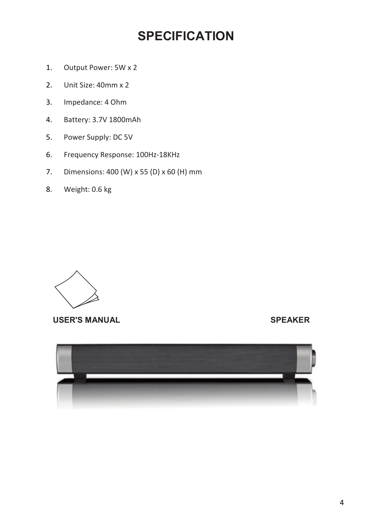### **SPECIFICATION**

- 1. Output Power: 5W x 2
- 2. Unit Size: 40mm x 2
- 3. Impedance: 4 Ohm
- 4. Battery: 3.7V 1800mAh
- 5. Power Supply: DC 5V
- 6. Frequency Response: 100Hz-18KHz
- 7. Dimensions: 400 (W) x 55 (D) x 60 (H) mm
- 8. Weight: 0.6 kg



#### USER'S MANUAL **SPEAKER**

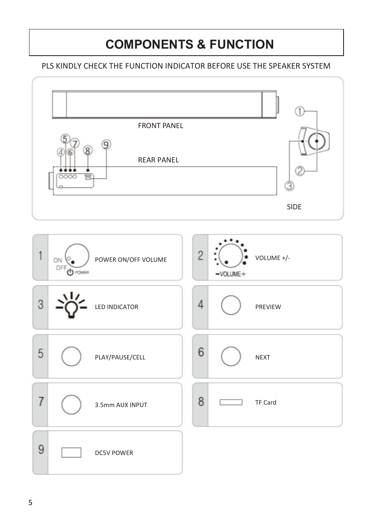### **COMPONENTS & FUNCTION**

#### PLS KINDLY CHECK THE FUNCTION INDICATOR BEFORE USE THE SPEAKER SYSTEM

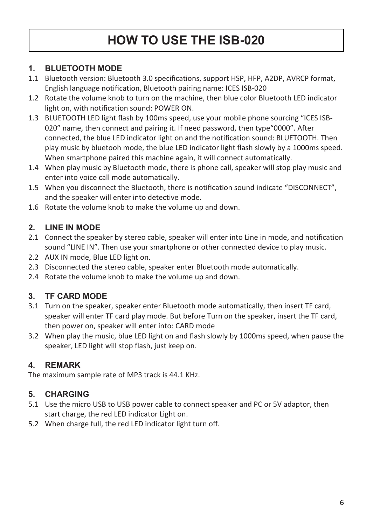### **HOW TO USE THE ISB-020**

#### **1. BLUETOOTH MODE**

- 1.1 Bluetooth version: Bluetooth 3.0 specifications, support HSP, HFP, A2DP, AVRCP format, English language notification, Bluetooth pairing name: ICES ISB-020
- 1.2 Rotate the volume knob to turn on the machine, then blue color Bluetooth LED indicator light on, with notification sound: POWER ON.
- 1.3 BLUETOOTH LED light flash by 100ms speed, use your mobile phone sourcing "ICES ISB-020" name, then connect and pairing it. If need password, then type"0000". After connected, the blue LED indicator light on and the notification sound: BLUETOOTH. Then play music by bluetooh mode, the blue LED indicator light flash slowly by a 1000ms speed. When smartphone paired this machine again, it will connect automatically.
- 1.4 When play music by Bluetooth mode, there is phone call, speaker will stop play music and enter into voice call mode automatically.
- 1.5 When you disconnect the Bluetooth, there is notification sound indicate "DISCONNECT", and the speaker will enter into detective mode.
- 1.6 Rotate the volume knob to make the volume up and down.

#### **2. LINE IN MODE**

- 2.1 Connect the speaker by stereo cable, speaker will enter into Line in mode, and notification sound "LINE IN". Then use your smartphone or other connected device to play music.
- 2.2 AUX IN mode, Blue LED light on.
- 2.3 Disconnected the stereo cable, speaker enter Bluetooth mode automatically.
- 2.4 Rotate the volume knob to make the volume up and down.

#### **3. TF CARD MODE**

- 3.1 Turn on the speaker, speaker enter Bluetooth mode automatically, then insert TF card, speaker will enter TF card play mode. But before Turn on the speaker, insert the TF card, then power on, speaker will enter into: CARD mode
- 3.2 When play the music, blue LED light on and flash slowly by 1000ms speed, when pause the speaker, LED light will stop flash, just keep on.

#### **4. REMARK**

The maximum sample rate of MP3 track is 44.1 KHz.

#### **5. CHARGING**

- 5.1 Use the micro USB to USB power cable to connect speaker and PC or 5V adaptor, then start charge, the red LED indicator Light on.
- 5.2 When charge full, the red LED indicator light turn off.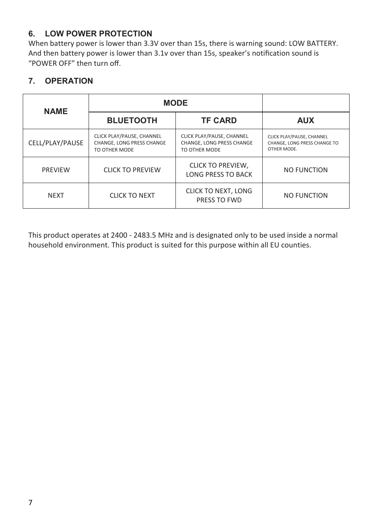#### **6. LOW POWER PROTECTION**

When battery power is lower than 3.3V over than 15s, there is warning sound: LOW BATTERY. And then battery power is lower than 3.1v over than 15s, speaker's notification sound is "POWER OFF" then turn off.

#### **7. OPERATION**

| <b>NAME</b>     | <b>MODE</b>                                                             |                                                                         |                                                                          |
|-----------------|-------------------------------------------------------------------------|-------------------------------------------------------------------------|--------------------------------------------------------------------------|
|                 | <b>BLUETOOTH</b>                                                        | <b>TF CARD</b>                                                          | <b>AUX</b>                                                               |
| CELL/PLAY/PAUSE | CLICK PLAY/PAUSE, CHANNEL<br>CHANGE. LONG PRESS CHANGE<br>TO OTHER MODE | CLICK PLAY/PAUSE, CHANNEL<br>CHANGE. LONG PRESS CHANGE<br>TO OTHER MODE | CLICK PLAY/PAUSE, CHANNEL<br>CHANGE, LONG PRESS CHANGE TO<br>OTHER MODE. |
| <b>PRFVIFW</b>  | <b>CLICK TO PREVIEW</b>                                                 | <b>CLICK TO PREVIEW,</b><br><b>LONG PRESS TO BACK</b>                   | NO FUNCTION                                                              |
| <b>NFXT</b>     | <b>CLICK TO NEXT</b>                                                    | CLICK TO NEXT, LONG<br>PRESS TO FWD                                     | NO FUNCTION                                                              |

This product operates at 2400 - 2483.5 MHz and is designated only to be used inside a normal household environment. This product is suited for this purpose within all EU counties.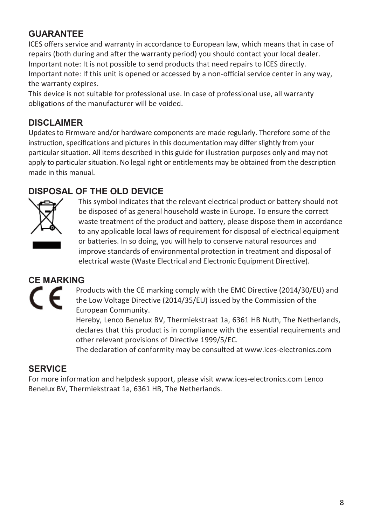#### **GUARANTEE**

ICES offers service and warranty in accordance to European law, which means that in case of repairs (both during and after the warranty period) you should contact your local dealer. Important note: It is not possible to send products that need repairs to ICES directly. Important note: If this unit is opened or accessed by a non-official service center in any way, the warranty expires.

This device is not suitable for professional use. In case of professional use, all warranty obligations of the manufacturer will be voided.

#### **DISCLAIMER**

Updates to Firmware and/or hardware components are made regularly. Therefore some of the instruction, specifications and pictures in this documentation may differ slightly from your particular situation. All items described in this guide for illustration purposes only and may not apply to particular situation. No legal right or entitlements may be obtained from the description made in this manual.

#### **DISPOSAL OF THE OLD DEVICE**



This symbol indicates that the relevant electrical product or battery should not be disposed of as general household waste in Europe. To ensure the correct waste treatment of the product and battery, please dispose them in accordance to any applicable local laws of requirement for disposal of electrical equipment or batteries. In so doing, you will help to conserve natural resources and improve standards of environmental protection in treatment and disposal of electrical waste (Waste Electrical and Electronic Equipment Directive).

### **CE MARKING**

Products with the CE marking comply with the EMC Directive (2014/30/EU) and the Low Voltage Directive (2014/35/EU) issued by the Commission of the European Community.

Hereby, Lenco Benelux BV, Thermiekstraat 1a, 6361 HB Nuth, The Netherlands, declares that this product is in compliance with the essential requirements and other relevant provisions of Directive 1999/5/EC.

The declaration of conformity may be consulted at www.ices-electronics.com

#### **SERVICE**

For more information and helpdesk support, please visit www.ices-electronics.com Lenco Benelux BV, Thermiekstraat 1a, 6361 HB, The Netherlands.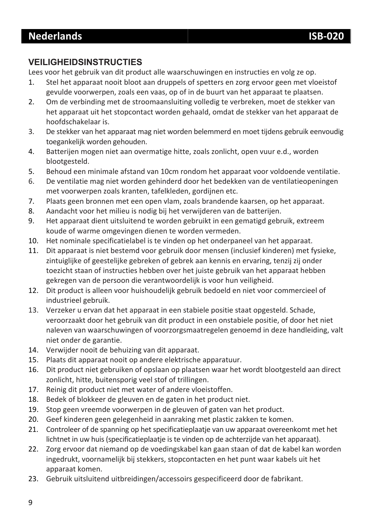#### **VEILIGHEIDSINSTRUCTIES**

Lees voor het gebruik van dit product alle waarschuwingen en instructies en volg ze op.

- 1. Stel het apparaat nooit bloot aan druppels of spetters en zorg ervoor geen met vloeistof gevulde voorwerpen, zoals een vaas, op of in de buurt van het apparaat te plaatsen.
- 2. Om de verbinding met de stroomaansluiting volledig te verbreken, moet de stekker van het apparaat uit het stopcontact worden gehaald, omdat de stekker van het apparaat de hoofdschakelaar is.
- 3. De stekker van het apparaat mag niet worden belemmerd en moet tijdens gebruik eenvoudig toegankelijk worden gehouden.
- 4. Batterijen mogen niet aan overmatige hitte, zoals zonlicht, open vuur e.d., worden blootgesteld.
- 5. Behoud een minimale afstand van 10cm rondom het apparaat voor voldoende ventilatie.
- 6. De ventilatie mag niet worden gehinderd door het bedekken van de ventilatieopeningen met voorwerpen zoals kranten, tafelkleden, gordijnen etc.
- 7. Plaats geen bronnen met een open vlam, zoals brandende kaarsen, op het apparaat.
- 8. Aandacht voor het milieu is nodig bij het verwijderen van de batterijen.
- 9. Het apparaat dient uitsluitend te worden gebruikt in een gematigd gebruik, extreem koude of warme omgevingen dienen te worden vermeden.
- 10. Het nominale specificatielabel is te vinden op het onderpaneel van het apparaat.
- 11. Dit apparaat is niet bestemd voor gebruik door mensen (inclusief kinderen) met fysieke, zintuiglijke of geestelijke gebreken of gebrek aan kennis en ervaring, tenzij zij onder toezicht staan of instructies hebben over het juiste gebruik van het apparaat hebben gekregen van de persoon die verantwoordelijk is voor hun veiligheid.
- 12. Dit product is alleen voor huishoudelijk gebruik bedoeld en niet voor commercieel of industrieel gebruik.
- 13. Verzeker u ervan dat het apparaat in een stabiele positie staat opgesteld. Schade, veroorzaakt door het gebruik van dit product in een onstabiele positie, of door het niet naleven van waarschuwingen of voorzorgsmaatregelen genoemd in deze handleiding, valt niet onder de garantie.
- 14. Verwijder nooit de behuizing van dit apparaat.
- 15. Plaats dit apparaat nooit op andere elektrische apparatuur.
- 16. Dit product niet gebruiken of opslaan op plaatsen waar het wordt blootgesteld aan direct zonlicht, hitte, buitensporig veel stof of trillingen.
- 17. Reinig dit product niet met water of andere vloeistoffen.
- 18. Bedek of blokkeer de gleuven en de gaten in het product niet.
- 19. Stop geen vreemde voorwerpen in de gleuven of gaten van het product.
- 20. Geef kinderen geen gelegenheid in aanraking met plastic zakken te komen.
- 21. Controleer of de spanning op het specificatieplaatje van uw apparaat overeenkomt met het lichtnet in uw huis (specificatieplaatje is te vinden op de achterzijde van het apparaat).
- 22. Zorg ervoor dat niemand op de voedingskabel kan gaan staan of dat de kabel kan worden ingedrukt, voornamelijk bij stekkers, stopcontacten en het punt waar kabels uit het apparaat komen.
- 23. Gebruik uitsluitend uitbreidingen/accessoirs gespecificeerd door de fabrikant.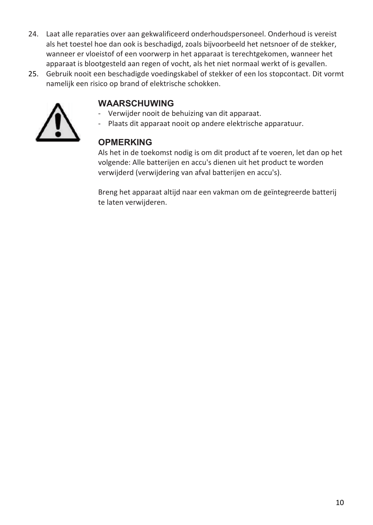- 24. Laat alle reparaties over aan gekwalificeerd onderhoudspersoneel. Onderhoud is vereist als het toestel hoe dan ook is beschadigd, zoals bijvoorbeeld het netsnoer of de stekker, wanneer er vloeistof of een voorwerp in het apparaat is terechtgekomen, wanneer het apparaat is blootgesteld aan regen of vocht, als het niet normaal werkt of is gevallen.
- 25. Gebruik nooit een beschadigde voedingskabel of stekker of een los stopcontact. Dit vormt namelijk een risico op brand of elektrische schokken.



#### **WAARSCHUWING**

- Verwijder nooit de behuizing van dit apparaat.
- Plaats dit apparaat nooit op andere elektrische apparatuur.

#### **OPMERKING**

Als het in de toekomst nodig is om dit product af te voeren, let dan op het volgende: Alle batterijen en accu's dienen uit het product te worden verwijderd (verwijdering van afval batterijen en accu's).

Breng het apparaat altijd naar een vakman om de geïntegreerde batterij te laten verwijderen.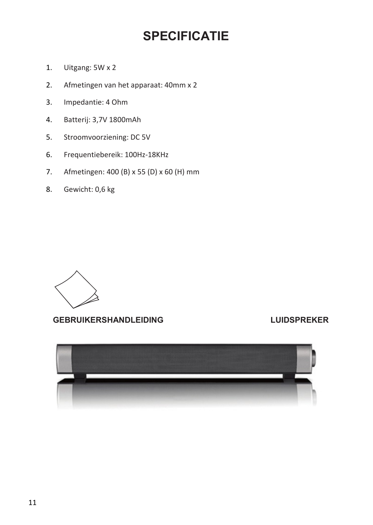### **SPECIFICATIE**

- 1. Uitgang: 5W x 2
- 2. Afmetingen van het apparaat: 40mm x 2
- 3. Impedantie: 4 Ohm
- 4. Batterij: 3,7V 1800mAh
- 5. Stroomvoorziening: DC 5V
- 6. Frequentiebereik: 100Hz-18KHz
- 7. Afmetingen: 400 (B) x 55 (D) x 60 (H) mm
- 8. Gewicht: 0,6 kg



**GEBRUIKERSHANDLEIDING LUIDSPREKER**

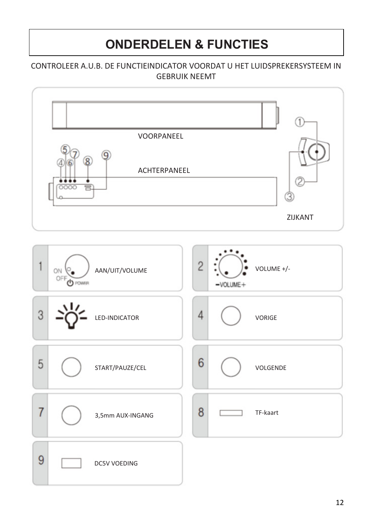# **ONDERDELEN & FUNCTIES**

#### CONTROLEER A.U.B. DE FUNCTIEINDICATOR VOORDAT U HET LUIDSPREKERSYSTEEM IN GEBRUIK NEEMT

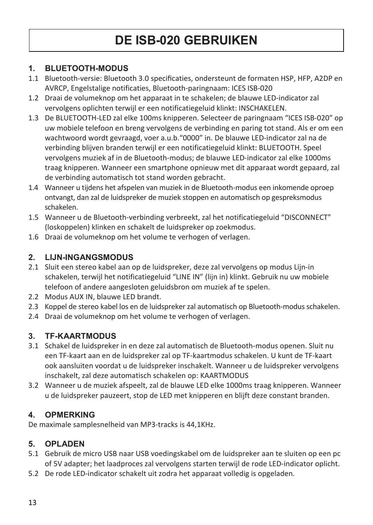# **DE ISB-020 GEBRUIKEN**

#### **1. BLUETOOTH-MODUS**

- 1.1 Bluetooth-versie: Bluetooth 3.0 specificaties, ondersteunt de formaten HSP, HFP, A2DP en AVRCP, Engelstalige notificaties, Bluetooth-paringnaam: ICES ISB-020
- 1.2 Draai de volumeknop om het apparaat in te schakelen; de blauwe LED-indicator zal vervolgens oplichten terwijl er een notificatiegeluid klinkt: INSCHAKELEN.
- 1.3 De BLUETOOTH-LED zal elke 100ms knipperen. Selecteer de paringnaam "ICES ISB-020" op uw mobiele telefoon en breng vervolgens de verbinding en paring tot stand. Als er om een wachtwoord wordt gevraagd, voer a.u.b."0000" in. De blauwe LED-indicator zal na de verbinding blijven branden terwijl er een notificatiegeluid klinkt: BLUETOOTH. Speel vervolgens muziek af in de Bluetooth-modus; de blauwe LED-indicator zal elke 1000ms traag knipperen. Wanneer een smartphone opnieuw met dit apparaat wordt gepaard, zal de verbinding automatisch tot stand worden gebracht.
- 1.4 Wanneer u tijdens het afspelen van muziek in de Bluetooth-modus een inkomende oproep ontvangt, dan zal de luidspreker de muziek stoppen en automatisch op gespreksmodus schakelen.
- 1.5 Wanneer u de Bluetooth-verbinding verbreekt, zal het notificatiegeluid "DISCONNECT" (loskoppelen) klinken en schakelt de luidspreker op zoekmodus.
- 1.6 Draai de volumeknop om het volume te verhogen of verlagen.

#### **2. LIJN-INGANGSMODUS**

- 2.1 Sluit een stereo kabel aan op de luidspreker, deze zal vervolgens op modus Lijn-in schakelen, terwijl het notificatiegeluid "LINE IN" (lijn in) klinkt. Gebruik nu uw mobiele telefoon of andere aangesloten geluidsbron om muziek af te spelen.
- 2.2 Modus AUX IN, blauwe LED brandt.
- 2.3 Koppel de stereo kabel los en de luidspreker zal automatisch op Bluetooth-modus schakelen.
- 2.4 Draai de volumeknop om het volume te verhogen of verlagen.

#### **3. TF-KAARTMODUS**

- 3.1 Schakel de luidspreker in en deze zal automatisch de Bluetooth-modus openen. Sluit nu een TF-kaart aan en de luidspreker zal op TF-kaartmodus schakelen. U kunt de TF-kaart ook aansluiten voordat u de luidspreker inschakelt. Wanneer u de luidspreker vervolgens inschakelt, zal deze automatisch schakelen op: KAARTMODUS
- 3.2 Wanneer u de muziek afspeelt, zal de blauwe LED elke 1000ms traag knipperen. Wanneer u de luidspreker pauzeert, stop de LED met knipperen en blijft deze constant branden.

#### **4. OPMERKING**

De maximale samplesnelheid van MP3-tracks is 44,1KHz.

#### **5. OPLADEN**

- 5.1 Gebruik de micro USB naar USB voedingskabel om de luidspreker aan te sluiten op een pc of 5V adapter; het laadproces zal vervolgens starten terwijl de rode LED-indicator oplicht.
- 5.2 De rode LED-indicator schakelt uit zodra het apparaat volledig is opgeladen.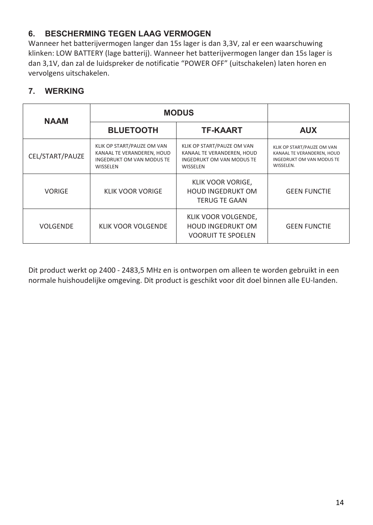#### **6. BESCHERMING TEGEN LAAG VERMOGEN**

Wanneer het batterijvermogen langer dan 15s lager is dan 3,3V, zal er een waarschuwing klinken: LOW BATTERY (lage batterij). Wanneer het batterijvermogen langer dan 15s lager is dan 3,1V, dan zal de luidspreker de notificatie "POWER OFF" (uitschakelen) laten horen en vervolgens uitschakelen.

#### **7. WERKING**

| <b>NAAM</b>     | <b>MODUS</b>                                                                                      |                                                                                                   |                                                                                                    |
|-----------------|---------------------------------------------------------------------------------------------------|---------------------------------------------------------------------------------------------------|----------------------------------------------------------------------------------------------------|
|                 | <b>BLUETOOTH</b>                                                                                  | <b>TF-KAART</b>                                                                                   | <b>AUX</b>                                                                                         |
| CEL/START/PAUZE | KLIK OP START/PAUZE OM VAN<br>KANAAL TE VERANDEREN, HOUD<br>INGEDRUKT OM VAN MODUS TE<br>WISSELEN | KLIK OP START/PAUZE OM VAN<br>KANAAL TE VERANDEREN, HOUD<br>INGEDRUKT OM VAN MODUS TE<br>WISSELEN | KLIK OP START/PAUZE OM VAN<br>KANAAL TE VERANDEREN, HOUD<br>INGEDRUKT OM VAN MODUS TE<br>WISSELEN. |
| <b>VORIGE</b>   | <b>KLIK VOOR VORIGE</b>                                                                           | KLIK VOOR VORIGE,<br><b>HOUD INGEDRUKT OM</b><br>TERUG TE GAAN                                    | <b>GFFN FUNCTIF</b>                                                                                |
| VOLGENDE        | KLIK VOOR VOLGENDE                                                                                | KLIK VOOR VOLGENDE,<br><b>HOUD INGFDRUKT OM</b><br><b>VOORUIT TE SPOELEN</b>                      | <b>GFFN FUNCTIF</b>                                                                                |

Dit product werkt op 2400 - 2483,5 MHz en is ontworpen om alleen te worden gebruikt in een normale huishoudelijke omgeving. Dit product is geschikt voor dit doel binnen alle EU-landen.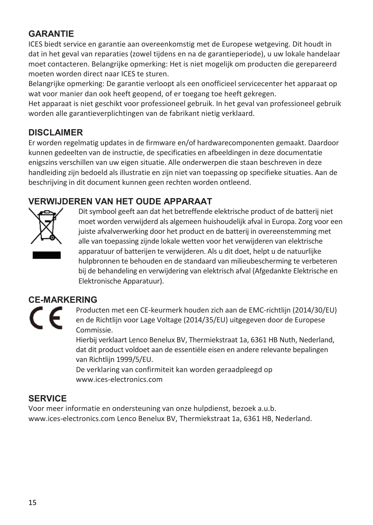#### **GARANTIE**

ICES biedt service en garantie aan overeenkomstig met de Europese wetgeving. Dit houdt in dat in het geval van reparaties (zowel tijdens en na de garantieperiode), u uw lokale handelaar moet contacteren. Belangrijke opmerking: Het is niet mogelijk om producten die gerepareerd moeten worden direct naar ICES te sturen.

Belangrijke opmerking: De garantie verloopt als een onofficieel servicecenter het apparaat op wat voor manier dan ook heeft geopend, of er toegang toe heeft gekregen.

Het apparaat is niet geschikt voor professioneel gebruik. In het geval van professioneel gebruik worden alle garantieverplichtingen van de fabrikant nietig verklaard.

#### **DISCLAIMER**

Er worden regelmatig updates in de firmware en/of hardwarecomponenten gemaakt. Daardoor kunnen gedeelten van de instructie, de specificaties en afbeeldingen in deze documentatie enigszins verschillen van uw eigen situatie. Alle onderwerpen die staan beschreven in deze handleiding zijn bedoeld als illustratie en zijn niet van toepassing op specifieke situaties. Aan de beschrijving in dit document kunnen geen rechten worden ontleend.

#### **VERWIJDEREN VAN HET OUDE APPARAAT**



Dit symbool geeft aan dat het betreffende elektrische product of de batterij niet moet worden verwijderd als algemeen huishoudelijk afval in Europa. Zorg voor een juiste afvalverwerking door het product en de batterij in overeenstemming met alle van toepassing zijnde lokale wetten voor het verwijderen van elektrische apparatuur of batterijen te verwijderen. Als u dit doet, helpt u de natuurlijke hulpbronnen te behouden en de standaard van milieubescherming te verbeteren bij de behandeling en verwijdering van elektrisch afval (Afgedankte Elektrische en Elektronische Apparatuur).

### **CE-MARKERING**  F

Producten met een CE-keurmerk houden zich aan de EMC-richtlijn (2014/30/EU) en de Richtlijn voor Lage Voltage (2014/35/EU) uitgegeven door de Europese Commissie.

Hierbij verklaart Lenco Benelux BV, Thermiekstraat 1a, 6361 HB Nuth, Nederland, dat dit product voldoet aan de essentiële eisen en andere relevante bepalingen van Richtlijn 1999/5/EU.

De verklaring van confirmiteit kan worden geraadpleegd op www.ices-electronics.com

#### **SERVICE**

Voor meer informatie en ondersteuning van onze hulpdienst, bezoek a.u.b. www.ices-electronics.com Lenco Benelux BV, Thermiekstraat 1a, 6361 HB, Nederland.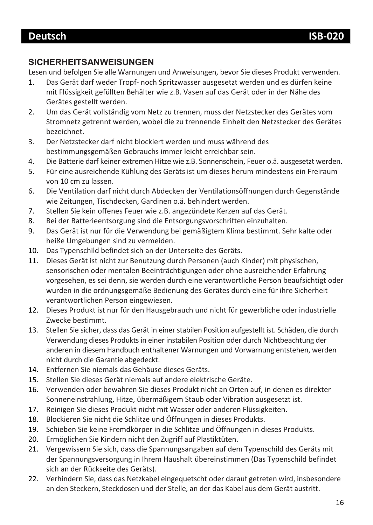#### **SICHERHEITSANWEISUNGEN**

Lesen und befolgen Sie alle Warnungen und Anweisungen, bevor Sie dieses Produkt verwenden.

- 1. Das Gerät darf weder Tropf- noch Spritzwasser ausgesetzt werden und es dürfen keine mit Flüssigkeit gefüllten Behälter wie z.B. Vasen auf das Gerät oder in der Nähe des Gerätes gestellt werden.
- 2. Um das Gerät vollständig vom Netz zu trennen, muss der Netzstecker des Gerätes vom Stromnetz getrennt werden, wobei die zu trennende Einheit den Netzstecker des Gerätes bezeichnet.
- 3. Der Netzstecker darf nicht blockiert werden und muss während des bestimmungsgemäßen Gebrauchs immer leicht erreichbar sein.
- 4. Die Batterie darf keiner extremen Hitze wie z.B. Sonnenschein, Feuer o.ä. ausgesetzt werden.
- 5. Für eine ausreichende Kühlung des Geräts ist um dieses herum mindestens ein Freiraum von 10 cm zu lassen.
- 6. Die Ventilation darf nicht durch Abdecken der Ventilationsöffnungen durch Gegenstände wie Zeitungen, Tischdecken, Gardinen o.ä. behindert werden.
- 7. Stellen Sie kein offenes Feuer wie z.B. angezündete Kerzen auf das Gerät.
- 8. Bei der Batterieentsorgung sind die Entsorgungsvorschriften einzuhalten.
- 9. Das Gerät ist nur für die Verwendung bei gemäßigtem Klima bestimmt. Sehr kalte oder heiße Umgebungen sind zu vermeiden.
- 10. Das Typenschild befindet sich an der Unterseite des Geräts.
- 11. Dieses Gerät ist nicht zur Benutzung durch Personen (auch Kinder) mit physischen, sensorischen oder mentalen Beeinträchtigungen oder ohne ausreichender Erfahrung vorgesehen, es sei denn, sie werden durch eine verantwortliche Person beaufsichtigt oder wurden in die ordnungsgemäße Bedienung des Gerätes durch eine für ihre Sicherheit verantwortlichen Person eingewiesen.
- 12. Dieses Produkt ist nur für den Hausgebrauch und nicht für gewerbliche oder industrielle Zwecke bestimmt.
- 13. Stellen Sie sicher, dass das Gerät in einer stabilen Position aufgestellt ist. Schäden, die durch Verwendung dieses Produkts in einer instabilen Position oder durch Nichtbeachtung der anderen in diesem Handbuch enthaltener Warnungen und Vorwarnung entstehen, werden nicht durch die Garantie abgedeckt.
- 14. Entfernen Sie niemals das Gehäuse dieses Geräts.
- 15. Stellen Sie dieses Gerät niemals auf andere elektrische Geräte.
- 16. Verwenden oder bewahren Sie dieses Produkt nicht an Orten auf, in denen es direkter Sonneneinstrahlung, Hitze, übermäßigem Staub oder Vibration ausgesetzt ist.
- 17. Reinigen Sie dieses Produkt nicht mit Wasser oder anderen Flüssigkeiten.
- 18. Blockieren Sie nicht die Schlitze und Öffnungen in dieses Produkts.
- 19. Schieben Sie keine Fremdkörper in die Schlitze und Öffnungen in dieses Produkts.
- 20. Ermöglichen Sie Kindern nicht den Zugriff auf Plastiktüten.
- 21. Vergewissern Sie sich, dass die Spannungsangaben auf dem Typenschild des Geräts mit der Spannungsversorgung in Ihrem Haushalt übereinstimmen (Das Typenschild befindet sich an der Rückseite des Geräts).
- 22. Verhindern Sie, dass das Netzkabel eingequetscht oder darauf getreten wird, insbesondere an den Steckern, Steckdosen und der Stelle, an der das Kabel aus dem Gerät austritt.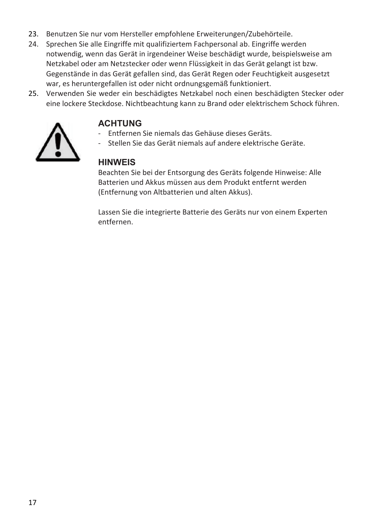- 23. Benutzen Sie nur vom Hersteller empfohlene Erweiterungen/Zubehörteile.
- 24. Sprechen Sie alle Eingriffe mit qualifiziertem Fachpersonal ab. Eingriffe werden notwendig, wenn das Gerät in irgendeiner Weise beschädigt wurde, beispielsweise am Netzkabel oder am Netzstecker oder wenn Flüssigkeit in das Gerät gelangt ist bzw. Gegenstände in das Gerät gefallen sind, das Gerät Regen oder Feuchtigkeit ausgesetzt war, es heruntergefallen ist oder nicht ordnungsgemäß funktioniert.
- 25. Verwenden Sie weder ein beschädigtes Netzkabel noch einen beschädigten Stecker oder eine lockere Steckdose. Nichtbeachtung kann zu Brand oder elektrischem Schock führen.



#### **ACHTUNG**

- Entfernen Sie niemals das Gehäuse dieses Geräts.
- Stellen Sie das Gerät niemals auf andere elektrische Geräte.

#### **HINWEIS**

Beachten Sie bei der Entsorgung des Geräts folgende Hinweise: Alle Batterien und Akkus müssen aus dem Produkt entfernt werden (Entfernung von Altbatterien und alten Akkus).

Lassen Sie die integrierte Batterie des Geräts nur von einem Experten entfernen.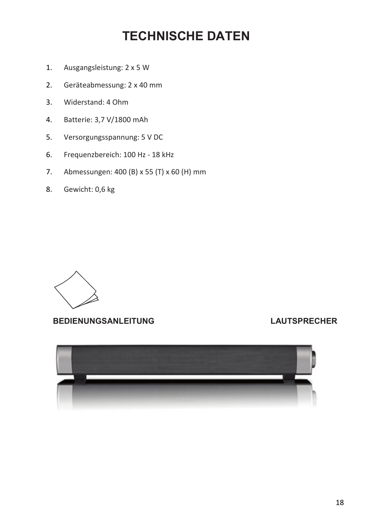### **TECHNISCHE DATEN**

- 1. Ausgangsleistung: 2 x 5 W
- 2. Geräteabmessung: 2 x 40 mm
- 3. Widerstand: 4 Ohm
- 4. Batterie: 3,7 V/1800 mAh
- 5. Versorgungsspannung: 5 V DC
- 6. Frequenzbereich: 100 Hz 18 kHz
- 7. Abmessungen: 400 (B) x 55 (T) x 60 (H) mm
- 8. Gewicht: 0,6 kg



**BEDIENUNGSANLEITUNG LAUTSPRECHER**

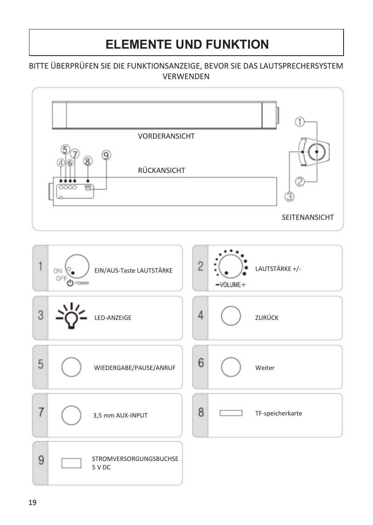### **ELEMENTE UND FUNKTION**

#### BITTE ÜBERPRÜFEN SIE DIE FUNKTIONSANZEIGE, BEVOR SIE DAS LAUTSPRECHERSYSTEM VERWENDEN

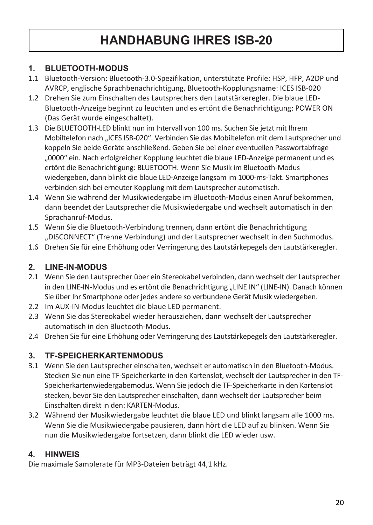### **HANDHABUNG IHRES ISB-20**

#### **1. BLUETOOTH-MODUS**

- 1.1 Bluetooth-Version: Bluetooth-3.0-Spezifikation, unterstützte Profile: HSP, HFP, A2DP und AVRCP, englische Sprachbenachrichtigung, Bluetooth-Kopplungsname: ICES ISB-020
- 1.2 Drehen Sie zum Einschalten des Lautsprechers den Lautstärkeregler. Die blaue LED-Bluetooth-Anzeige beginnt zu leuchten und es ertönt die Benachrichtigung: POWER ON (Das Gerät wurde eingeschaltet).
- 1.3 Die BLUETOOTH-LED blinkt nun im Intervall von 100 ms. Suchen Sie jetzt mit Ihrem Mobiltelefon nach "ICES ISB-020". Verbinden Sie das Mobiltelefon mit dem Lautsprecher und koppeln Sie beide Geräte anschließend. Geben Sie bei einer eventuellen Passwortabfrage "0000" ein. Nach erfolgreicher Kopplung leuchtet die blaue LED-Anzeige permanent und es ertönt die Benachrichtigung: BLUETOOTH. Wenn Sie Musik im Bluetooth-Modus wiedergeben, dann blinkt die blaue LED-Anzeige langsam im 1000-ms-Takt. Smartphones verbinden sich bei erneuter Kopplung mit dem Lautsprecher automatisch.
- 1.4 Wenn Sie während der Musikwiedergabe im Bluetooth-Modus einen Anruf bekommen, dann beendet der Lautsprecher die Musikwiedergabe und wechselt automatisch in den Sprachanruf-Modus.
- 1.5 Wenn Sie die Bluetooth-Verbindung trennen, dann ertönt die Benachrichtigung "DISCONNECT" (Trenne Verbindung) und der Lautsprecher wechselt in den Suchmodus.
- 1.6 Drehen Sie für eine Erhöhung oder Verringerung des Lautstärkepegels den Lautstärkeregler.

#### **2. LINE-IN-MODUS**

- 2.1 Wenn Sie den Lautsprecher über ein Stereokabel verbinden, dann wechselt der Lautsprecher in den LINE-IN-Modus und es ertönt die Benachrichtigung "LINE IN" (LINE-IN). Danach können Sie über Ihr Smartphone oder jedes andere so verbundene Gerät Musik wiedergeben.
- 2.2 Im AUX-IN-Modus leuchtet die blaue LED permanent.
- 2.3 Wenn Sie das Stereokabel wieder herausziehen, dann wechselt der Lautsprecher automatisch in den Bluetooth-Modus.
- 2.4 Drehen Sie für eine Erhöhung oder Verringerung des Lautstärkepegels den Lautstärkeregler.

#### **3. TF-SPEICHERKARTENMODUS**

- 3.1 Wenn Sie den Lautsprecher einschalten, wechselt er automatisch in den Bluetooth-Modus. Stecken Sie nun eine TF-Speicherkarte in den Kartenslot, wechselt der Lautsprecher in den TF-Speicherkartenwiedergabemodus. Wenn Sie jedoch die TF-Speicherkarte in den Kartenslot stecken, bevor Sie den Lautsprecher einschalten, dann wechselt der Lautsprecher beim Einschalten direkt in den: KARTEN-Modus.
- 3.2 Während der Musikwiedergabe leuchtet die blaue LED und blinkt langsam alle 1000 ms. Wenn Sie die Musikwiedergabe pausieren, dann hört die LED auf zu blinken. Wenn Sie nun die Musikwiedergabe fortsetzen, dann blinkt die LED wieder usw.

#### **4. HINWEIS**

Die maximale Samplerate für MP3-Dateien beträgt 44,1 kHz.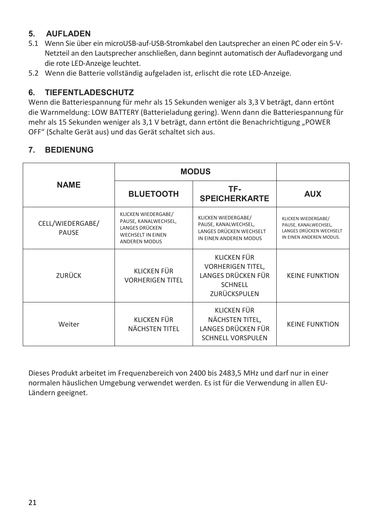#### **5. AUFLADEN**

- 5.1 Wenn Sie über ein microUSB-auf-USB-Stromkabel den Lautsprecher an einen PC oder ein 5-V-Netzteil an den Lautsprecher anschließen, dann beginnt automatisch der Aufladevorgang und die rote LED-Anzeige leuchtet.
- 5.2 Wenn die Batterie vollständig aufgeladen ist, erlischt die rote LED-Anzeige.

#### **6. TIEFENTLADESCHUTZ**

Wenn die Batteriespannung für mehr als 15 Sekunden weniger als 3,3 V beträgt, dann ertönt die Warnmeldung: LOW BATTERY (Batterieladung gering). Wenn dann die Batteriespannung für mehr als 15 Sekunden weniger als 3,1 V beträgt, dann ertönt die Benachrichtigung "POWER OFF" (Schalte Gerät aus) und das Gerät schaltet sich aus.

#### **7. BEDIENUNG**

|                           | <b>MODUS</b>                                                                                                      |                                                                                                         |                                                                                                   |
|---------------------------|-------------------------------------------------------------------------------------------------------------------|---------------------------------------------------------------------------------------------------------|---------------------------------------------------------------------------------------------------|
| <b>NAME</b>               | <b>BLUETOOTH</b>                                                                                                  | TF-<br><b>SPEICHERKARTE</b>                                                                             | <b>AUX</b>                                                                                        |
| CELL/WIEDERGABE/<br>PAUSE | KLICKEN WIEDERGABE/<br>PAUSE, KANALWECHSEL,<br><b>LANGES DRÜCKEN</b><br><b>WECHSELT IN EINEN</b><br>ANDEREN MODUS | <b>KLICKEN WIEDERGABE/</b><br>PAUSE, KANALWECHSEL,<br>LANGES DRÜCKEN WECHSELT<br>IN FINEN ANDEREN MODUS | KLICKEN WIEDERGABE/<br>PAUSE, KANALWECHSEL,<br>LANGES DRÜCKEN WECHSELT<br>IN EINEN ANDEREN MODUS. |
| ZURÜCK                    | KLICKEN FÜR<br><b>VORHERIGEN TITEL</b>                                                                            | KLICKEN FÜR<br><b>VORHERIGEN TITEL,</b><br>LANGES DRÜCKEN FÜR<br><b>SCHNELL</b><br>ZURÜCKSPULEN         | <b>KFINF FUNKTION</b>                                                                             |
| Weiter                    | KLICKEN FÜR<br>NÄCHSTEN TITEL                                                                                     | <b>KLICKEN FÜR</b><br>NÄCHSTEN TITEL,<br>LANGES DRÜCKEN FÜR<br><b>SCHNELL VORSPULEN</b>                 | <b>KFINF FUNKTION</b>                                                                             |

Dieses Produkt arbeitet im Frequenzbereich von 2400 bis 2483,5 MHz und darf nur in einer normalen häuslichen Umgebung verwendet werden. Es ist für die Verwendung in allen EU-Ländern geeignet.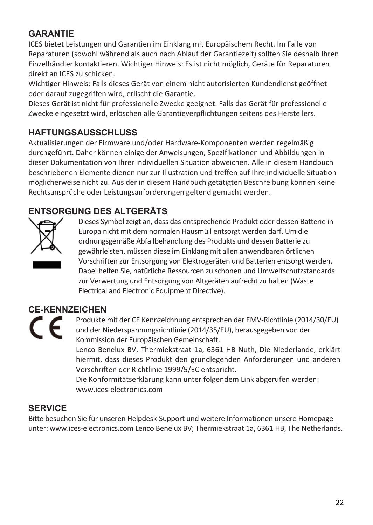#### **GARANTIE**

ICES bietet Leistungen und Garantien im Einklang mit Europäischem Recht. Im Falle von Reparaturen (sowohl während als auch nach Ablauf der Garantiezeit) sollten Sie deshalb Ihren Einzelhändler kontaktieren. Wichtiger Hinweis: Es ist nicht möglich, Geräte für Reparaturen direkt an ICES zu schicken.

Wichtiger Hinweis: Falls dieses Gerät von einem nicht autorisierten Kundendienst geöffnet oder darauf zugegriffen wird, erlischt die Garantie.

Dieses Gerät ist nicht für professionelle Zwecke geeignet. Falls das Gerät für professionelle Zwecke eingesetzt wird, erlöschen alle Garantieverpflichtungen seitens des Herstellers.

#### **HAFTUNGSAUSSCHLUSS**

Aktualisierungen der Firmware und/oder Hardware-Komponenten werden regelmäßig durchgeführt. Daher können einige der Anweisungen, Spezifikationen und Abbildungen in dieser Dokumentation von Ihrer individuellen Situation abweichen. Alle in diesem Handbuch beschriebenen Elemente dienen nur zur Illustration und treffen auf Ihre individuelle Situation möglicherweise nicht zu. Aus der in diesem Handbuch getätigten Beschreibung können keine Rechtsansprüche oder Leistungsanforderungen geltend gemacht werden.

#### **ENTSORGUNG DES ALTGERÄTS**



Dieses Symbol zeigt an, dass das entsprechende Produkt oder dessen Batterie in Europa nicht mit dem normalen Hausmüll entsorgt werden darf. Um die ordnungsgemäße Abfallbehandlung des Produkts und dessen Batterie zu gewährleisten, müssen diese im Einklang mit allen anwendbaren örtlichen Vorschriften zur Entsorgung von Elektrogeräten und Batterien entsorgt werden. Dabei helfen Sie, natürliche Ressourcen zu schonen und Umweltschutzstandards zur Verwertung und Entsorgung von Altgeräten aufrecht zu halten (Waste Electrical and Electronic Equipment Directive).

#### **CE-KENNZEICHEN**



Produkte mit der CE Kennzeichnung entsprechen der EMV-Richtlinie (2014/30/EU) und der Niederspannungsrichtlinie (2014/35/EU), herausgegeben von der Kommission der Europäischen Gemeinschaft.

Lenco Benelux BV, Thermiekstraat 1a, 6361 HB Nuth, Die Niederlande, erklärt hiermit, dass dieses Produkt den grundlegenden Anforderungen und anderen Vorschriften der Richtlinie 1999/5/EC entspricht.

Die Konformitätserklärung kann unter folgendem Link abgerufen werden: www.ices-electronics.com

#### **SERVICE**

Bitte besuchen Sie für unseren Helpdesk-Support und weitere Informationen unsere Homepage unter: www.ices-electronics.com Lenco Benelux BV; Thermiekstraat 1a, 6361 HB, The Netherlands.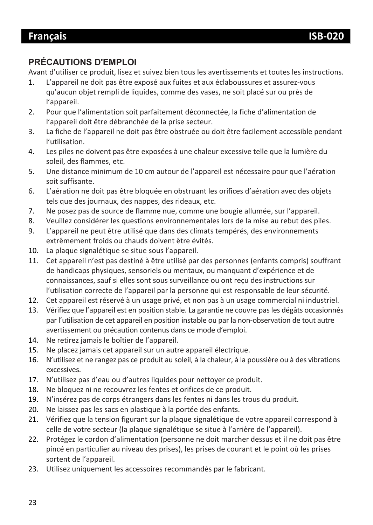#### **PRÉCAUTIONS D'EMPLOI**

Avant d'utiliser ce produit, lisez et suivez bien tous les avertissements et toutes les instructions.

- 1. L'appareil ne doit pas être exposé aux fuites et aux éclaboussures et assurez-vous qu'aucun objet rempli de liquides, comme des vases, ne soit placé sur ou près de l'appareil.
- 2. Pour que l'alimentation soit parfaitement déconnectée, la fiche d'alimentation de l'appareil doit être débranchée de la prise secteur.
- 3. La fiche de l'appareil ne doit pas être obstruée ou doit être facilement accessible pendant l'utilisation.
- 4. Les piles ne doivent pas être exposées à une chaleur excessive telle que la lumière du soleil, des flammes, etc.
- 5. Une distance minimum de 10 cm autour de l'appareil est nécessaire pour que l'aération soit suffisante.
- 6. L'aération ne doit pas être bloquée en obstruant les orifices d'aération avec des objets tels que des journaux, des nappes, des rideaux, etc.
- 7. Ne posez pas de source de flamme nue, comme une bougie allumée, sur l'appareil.
- 8. Veuillez considérer les questions environnementales lors de la mise au rebut des piles.
- 9. L'appareil ne peut être utilisé que dans des climats tempérés, des environnements extrêmement froids ou chauds doivent être évités.
- 10. La plaque signalétique se situe sous l'appareil.
- 11. Cet appareil n'est pas destiné à être utilisé par des personnes (enfants compris) souffrant de handicaps physiques, sensoriels ou mentaux, ou manquant d'expérience et de connaissances, sauf si elles sont sous surveillance ou ont reçu des instructions sur l'utilisation correcte de l'appareil par la personne qui est responsable de leur sécurité.
- 12. Cet appareil est réservé à un usage privé, et non pas à un usage commercial ni industriel.
- 13. Vérifiez que l'appareil est en position stable. La garantie ne couvre pas les dégâts occasionnés par l'utilisation de cet appareil en position instable ou par la non-observation de tout autre avertissement ou précaution contenus dans ce mode d'emploi.
- 14. Ne retirez jamais le boîtier de l'appareil.
- 15. Ne placez jamais cet appareil sur un autre appareil électrique.
- 16. N'utilisez et ne rangez pas ce produit au soleil, à la chaleur, à la poussière ou à des vibrations excessives.
- 17. N'utilisez pas d'eau ou d'autres liquides pour nettoyer ce produit.
- 18. Ne bloquez ni ne recouvrez les fentes et orifices de ce produit.
- 19. N'insérez pas de corps étrangers dans les fentes ni dans les trous du produit.
- 20. Ne laissez pas les sacs en plastique à la portée des enfants.
- 21. Vérifiez que la tension figurant sur la plaque signalétique de votre appareil correspond à celle de votre secteur (la plaque signalétique se situe à l'arrière de l'appareil).
- 22. Protégez le cordon d'alimentation (personne ne doit marcher dessus et il ne doit pas être pincé en particulier au niveau des prises), les prises de courant et le point où les prises sortent de l'appareil.
- 23. Utilisez uniquement les accessoires recommandés par le fabricant.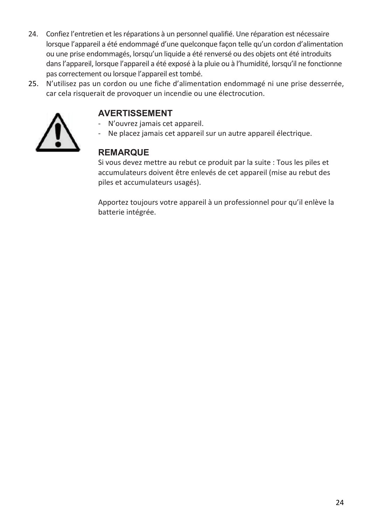- 24. Confiez l'entretien et les réparations à un personnel qualifié. Une réparation est nécessaire lorsque l'appareil a été endommagé d'une quelconque façon telle qu'un cordon d'alimentation ou une prise endommagés, lorsqu'un liquide a été renversé ou des objets ont été introduits dans l'appareil, lorsque l'appareil a été exposé à la pluie ou à l'humidité, lorsqu'il ne fonctionne pas correctement ou lorsque l'appareil est tombé.
- 25. N'utilisez pas un cordon ou une fiche d'alimentation endommagé ni une prise desserrée, car cela risquerait de provoquer un incendie ou une électrocution.



#### **AVERTISSEMENT**

- N'ouvrez jamais cet appareil.
- Ne placez jamais cet appareil sur un autre appareil électrique.

#### **REMARQUE**

Si vous devez mettre au rebut ce produit par la suite : Tous les piles et accumulateurs doivent être enlevés de cet appareil (mise au rebut des piles et accumulateurs usagés).

Apportez toujours votre appareil à un professionnel pour qu'il enlève la batterie intégrée.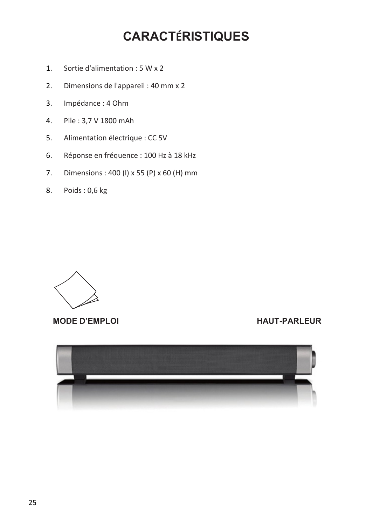### **CARACTÉRISTIQUES**

- 1. Sortie d'alimentation : 5 W x 2
- 2. Dimensions de l'appareil : 40 mm x 2
- 3. Impédance : 4 Ohm
- 4. Pile : 3,7 V 1800 mAh
- 5. Alimentation électrique : CC 5V
- 6. Réponse en fréquence : 100 Hz à 18 kHz
- 7. Dimensions : 400 (l) x 55 (P) x 60 (H) mm
- 8. Poids : 0,6 kg



**MODE D'EMPLOI HAUT-PARLEUR**

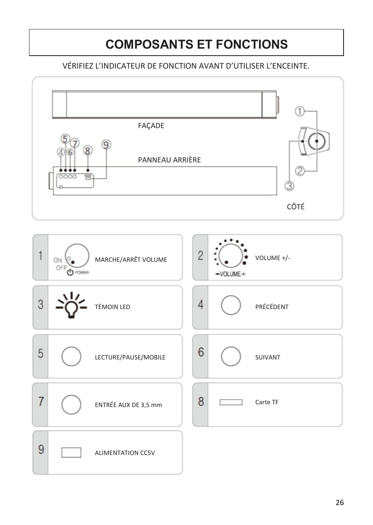# **COMPOSANTS ET FONCTIONS**

#### VÉRIFIEZ L'INDICATEUR DE FONCTION AVANT D'UTILISER L'ENCEINTE.

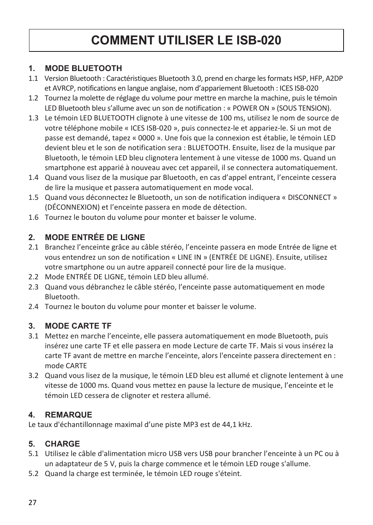### **COMMENT UTILISER LE ISB-020**

#### **1. MODE BLUETOOTH**

- 1.1 Version Bluetooth : Caractéristiques Bluetooth 3.0, prend en charge les formats HSP, HFP, A2DP et AVRCP, notifications en langue anglaise, nom d'appariement Bluetooth : ICES ISB-020
- 1.2 Tournez la molette de réglage du volume pour mettre en marche la machine, puis le témoin LED Bluetooth bleu s'allume avec un son de notification : « POWER ON » (SOUS TENSION).
- 1.3 Le témoin LED BLUETOOTH clignote à une vitesse de 100 ms, utilisez le nom de source de votre téléphone mobile « ICES ISB-020 », puis connectez-le et appariez-le. Si un mot de passe est demandé, tapez « 0000 ». Une fois que la connexion est établie, le témoin LED devient bleu et le son de notification sera : BLUETOOTH. Ensuite, lisez de la musique par Bluetooth, le témoin LED bleu clignotera lentement à une vitesse de 1000 ms. Quand un smartphone est apparié à nouveau avec cet appareil, il se connectera automatiquement.
- 1.4 Quand vous lisez de la musique par Bluetooth, en cas d'appel entrant, l'enceinte cessera de lire la musique et passera automatiquement en mode vocal.
- 1.5 Quand vous déconnectez le Bluetooth, un son de notification indiquera « DISCONNECT » (DÉCONNEXION) et l'enceinte passera en mode de détection.
- 1.6 Tournez le bouton du volume pour monter et baisser le volume.

#### **2. MODE ENTRÉE DE LIGNE**

- 2.1 Branchez l'enceinte grâce au câble stéréo, l'enceinte passera en mode Entrée de ligne et vous entendrez un son de notification « LINE IN » (ENTRÉE DE LIGNE). Ensuite, utilisez votre smartphone ou un autre appareil connecté pour lire de la musique.
- 2.2 Mode ENTRÉE DE LIGNE, témoin LED bleu allumé.
- 2.3 Quand vous débranchez le câble stéréo, l'enceinte passe automatiquement en mode Bluetooth.
- 2.4 Tournez le bouton du volume pour monter et baisser le volume.

#### **3. MODE CARTE TF**

- 3.1 Mettez en marche l'enceinte, elle passera automatiquement en mode Bluetooth, puis insérez une carte TF et elle passera en mode Lecture de carte TF. Mais si vous insérez la carte TF avant de mettre en marche l'enceinte, alors l'enceinte passera directement en : mode CARTE
- 3.2 Quand vous lisez de la musique, le témoin LED bleu est allumé et clignote lentement à une vitesse de 1000 ms. Quand vous mettez en pause la lecture de musique, l'enceinte et le témoin LED cessera de clignoter et restera allumé.

#### **4. REMARQUE**

Le taux d'échantillonnage maximal d'une piste MP3 est de 44,1 kHz.

#### **5. CHARGE**

- 5.1 Utilisez le câble d'alimentation micro USB vers USB pour brancher l'enceinte à un PC ou à un adaptateur de 5 V, puis la charge commence et le témoin LED rouge s'allume.
- 5.2 Quand la charge est terminée, le témoin LED rouge s'éteint.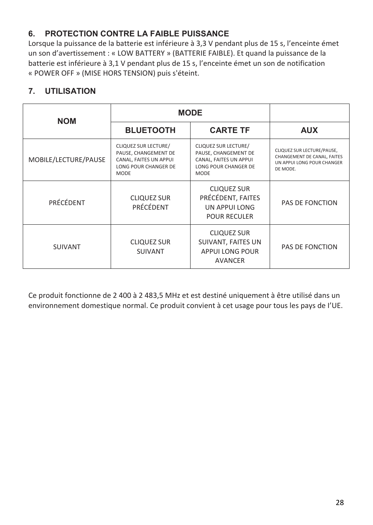#### **6. PROTECTION CONTRE LA FAIBLE PUISSANCE**

Lorsque la puissance de la batterie est inférieure à 3,3 V pendant plus de 15 s, l'enceinte émet un son d'avertissement : « LOW BATTERY » (BATTERIE FAIBLE). Et quand la puissance de la batterie est inférieure à 3,1 V pendant plus de 15 s, l'enceinte émet un son de notification « POWER OFF » (MISE HORS TENSION) puis s'éteint.

#### **7. UTILISATION**

| <b>NOM</b>           | <b>MODE</b>                                                                                            |                                                                                                        |                                                                                                    |
|----------------------|--------------------------------------------------------------------------------------------------------|--------------------------------------------------------------------------------------------------------|----------------------------------------------------------------------------------------------------|
|                      | <b>BLUETOOTH</b>                                                                                       | <b>CARTE TF</b>                                                                                        | <b>AUX</b>                                                                                         |
| MOBILE/LECTURE/PAUSE | CLIQUEZ SUR LECTURE/<br>PAUSE, CHANGEMENT DE<br>CANAL, FAITES UN APPUI<br>LONG POUR CHANGER DE<br>MODE | CLIQUEZ SUR LECTURE/<br>PAUSE, CHANGEMENT DE<br>CANAL, FAITES UN APPUI<br>LONG POUR CHANGER DE<br>MODE | CLIQUEZ SUR LECTURE/PAUSE.<br>CHANGEMENT DE CANAL, FAITES<br>UN APPULLONG POUR CHANGER<br>DE MODE. |
| PRÉCÉDENT            | <b>CLIQUEZ SUR</b><br>PRÉCÉDENT                                                                        | <b>CLIQUEZ SUR</b><br>PRÉCÉDENT, FAITES<br>UN APPULLONG<br><b>POUR RECULER</b>                         | PAS DE FONCTION                                                                                    |
| SUIVANT              | <b>CLIQUEZ SUR</b><br><b>SUIVANT</b>                                                                   | <b>CLIQUEZ SUR</b><br>SUIVANT, FAITES UN<br><b>APPULLONG POUR</b><br><b>AVANCER</b>                    | PAS DE FONCTION                                                                                    |

Ce produit fonctionne de 2 400 à 2 483,5 MHz et est destiné uniquement à être utilisé dans un environnement domestique normal. Ce produit convient à cet usage pour tous les pays de I'UE.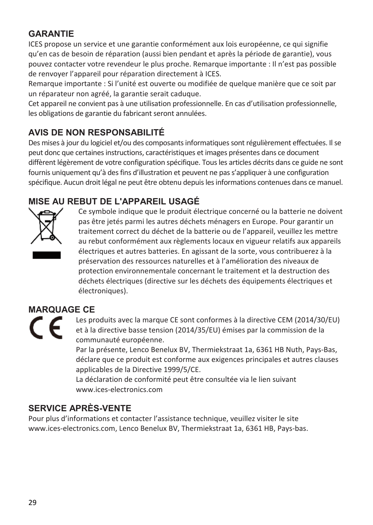#### **GARANTIE**

ICES propose un service et une garantie conformément aux lois européenne, ce qui signifie qu'en cas de besoin de réparation (aussi bien pendant et après la période de garantie), vous pouvez contacter votre revendeur le plus proche. Remarque importante : Il n'est pas possible de renvoyer l'appareil pour réparation directement à ICES.

Remarque importante : Si l'unité est ouverte ou modifiée de quelque manière que ce soit par un réparateur non agréé, la garantie serait caduque.

Cet appareil ne convient pas à une utilisation professionnelle. En cas d'utilisation professionnelle, les obligations de garantie du fabricant seront annulées.

#### **AVIS DE NON RESPONSABILITÉ**

Des mises à jour du logiciel et/ou des composants informatiques sont régulièrement effectuées. Il se peut donc que certaines instructions, caractéristiques et images présentes dans ce document diffèrent légèrement de votre configuration spécifique. Tous les articles décrits dans ce guide ne sont fournis uniquement qu'à des fins d'illustration et peuvent ne pas s'appliquer à une configuration spécifique. Aucun droit légal ne peut être obtenu depuis les informations contenues dans ce manuel.

#### **MISE AU REBUT DE L'APPAREIL USAGÉ**



Ce symbole indique que le produit électrique concerné ou la batterie ne doivent pas être jetés parmi les autres déchets ménagers en Europe. Pour garantir un traitement correct du déchet de la batterie ou de l'appareil, veuillez les mettre au rebut conformément aux règlements locaux en vigueur relatifs aux appareils électriques et autres batteries. En agissant de la sorte, vous contribuerez à la préservation des ressources naturelles et à l'amélioration des niveaux de protection environnementale concernant le traitement et la destruction des déchets électriques (directive sur les déchets des équipements électriques et électroniques).

#### **MARQUAGE CE**



Les produits avec la marque CE sont conformes à la directive CEM (2014/30/EU) et à la directive basse tension (2014/35/EU) émises par la commission de la communauté européenne.

Par la présente, Lenco Benelux BV, Thermiekstraat 1a, 6361 HB Nuth, Pays-Bas, déclare que ce produit est conforme aux exigences principales et autres clauses applicables de la Directive 1999/5/CE.

La déclaration de conformité peut être consultée via le lien suivant www.ices-electronics.com

#### **SERVICE APRÈS-VENTE**

Pour plus d'informations et contacter l'assistance technique, veuillez visiter le site www.ices-electronics.com, Lenco Benelux BV, Thermiekstraat 1a, 6361 HB, Pays-bas.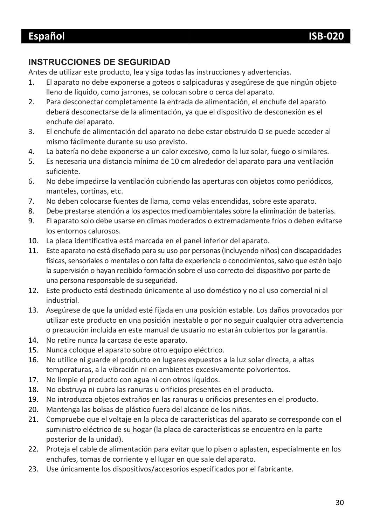#### **INSTRUCCIONES DE SEGURIDAD**

Antes de utilizar este producto, lea y siga todas las instrucciones y advertencias.

- 1. El aparato no debe exponerse a goteos o salpicaduras y asegúrese de que ningún objeto lleno de líquido, como jarrones, se colocan sobre o cerca del aparato.
- 2. Para desconectar completamente la entrada de alimentación, el enchufe del aparato deberá desconectarse de la alimentación, ya que el dispositivo de desconexión es el enchufe del aparato.
- 3. El enchufe de alimentación del aparato no debe estar obstruido O se puede acceder al mismo fácilmente durante su uso previsto.
- 4. La batería no debe exponerse a un calor excesivo, como la luz solar, fuego o similares.
- 5. Es necesaria una distancia mínima de 10 cm alrededor del aparato para una ventilación suficiente.
- 6. No debe impedirse la ventilación cubriendo las aperturas con objetos como periódicos, manteles, cortinas, etc.
- 7. No deben colocarse fuentes de llama, como velas encendidas, sobre este aparato.
- 8. Debe prestarse atención a los aspectos medioambientales sobre la eliminación de baterías.
- 9. El aparato solo debe usarse en climas moderados o extremadamente fríos o deben evitarse los entornos calurosos.
- 10. La placa identificativa está marcada en el panel inferior del aparato.
- 11. Este aparato no está diseñado para su uso por personas (incluyendo niños) con discapacidades físicas, sensoriales o mentales o con falta de experiencia o conocimientos, salvo que estén bajo la supervisión o hayan recibido formación sobre el uso correcto del dispositivo por parte de una persona responsable de su seguridad.
- 12. Este producto está destinado únicamente al uso doméstico y no al uso comercial ni al industrial.
- 13. Asegúrese de que la unidad esté fijada en una posición estable. Los daños provocados por utilizar este producto en una posición inestable o por no seguir cualquier otra advertencia o precaución incluida en este manual de usuario no estarán cubiertos por la garantía.
- 14. No retire nunca la carcasa de este aparato.
- 15. Nunca coloque el aparato sobre otro equipo eléctrico.
- 16. No utilice ni guarde el producto en lugares expuestos a la luz solar directa, a altas temperaturas, a la vibración ni en ambientes excesivamente polvorientos.
- 17. No limpie el producto con agua ni con otros líquidos.
- 18. No obstruya ni cubra las ranuras u orificios presentes en el producto.
- 19. No introduzca objetos extraños en las ranuras u orificios presentes en el producto.
- 20. Mantenga las bolsas de plástico fuera del alcance de los niños.
- 21. Compruebe que el voltaje en la placa de características del aparato se corresponde con el suministro eléctrico de su hogar (la placa de características se encuentra en la parte posterior de la unidad).
- 22. Proteja el cable de alimentación para evitar que lo pisen o aplasten, especialmente en los enchufes, tomas de corriente y el lugar en que sale del aparato.
- 23. Use únicamente los dispositivos/accesorios especificados por el fabricante.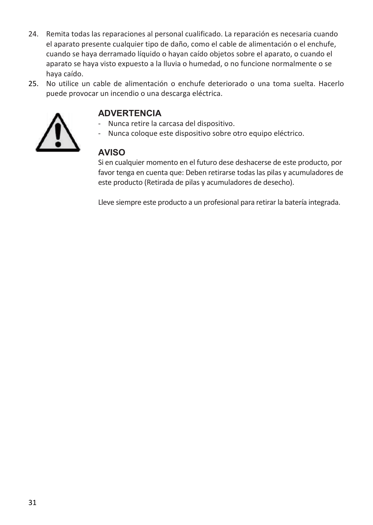- 24. Remita todas las reparaciones al personal cualificado. La reparación es necesaria cuando el aparato presente cualquier tipo de daño, como el cable de alimentación o el enchufe, cuando se haya derramado líquido o hayan caído objetos sobre el aparato, o cuando el aparato se haya visto expuesto a la lluvia o humedad, o no funcione normalmente o se haya caído.
- 25. No utilice un cable de alimentación o enchufe deteriorado o una toma suelta. Hacerlo puede provocar un incendio o una descarga eléctrica.



#### **ADVERTENCIA**

- Nunca retire la carcasa del dispositivo.
- Nunca coloque este dispositivo sobre otro equipo eléctrico.

#### **AVISO**

Si en cualquier momento en el futuro dese deshacerse de este producto, por favor tenga en cuenta que: Deben retirarse todas las pilas y acumuladores de este producto (Retirada de pilas y acumuladores de desecho).

Lleve siempre este producto a un profesional para retirar la batería integrada.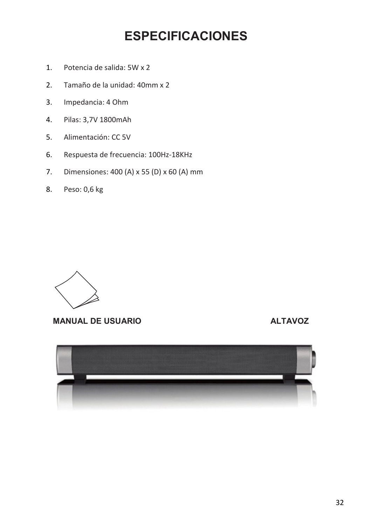### **ESPECIFICACIONES**

- 1. Potencia de salida: 5W x 2
- 2. Tamaño de la unidad: 40mm x 2
- 3. Impedancia: 4 Ohm
- 4. Pilas: 3,7V 1800mAh
- 5. Alimentación: CC 5V
- 6. Respuesta de frecuencia: 100Hz-18KHz
- 7. Dimensiones: 400 (A) x 55 (D) x 60 (A) mm
- 8. Peso: 0,6 kg



#### **MANUAL DE USUARIO ALTAVOZ**

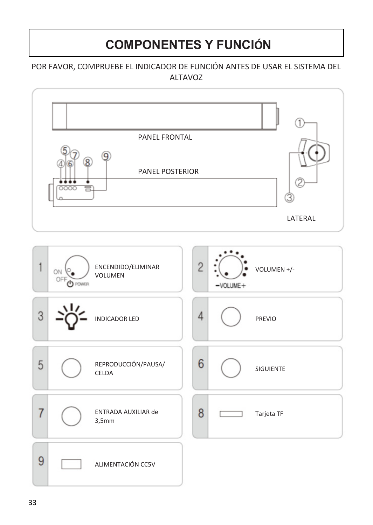### **COMPONENTES Y FUNCIÓN**

#### POR FAVOR, COMPRUEBE EL INDICADOR DE FUNCIÓN ANTES DE USAR EL SISTEMA DEL ALTAVOZ

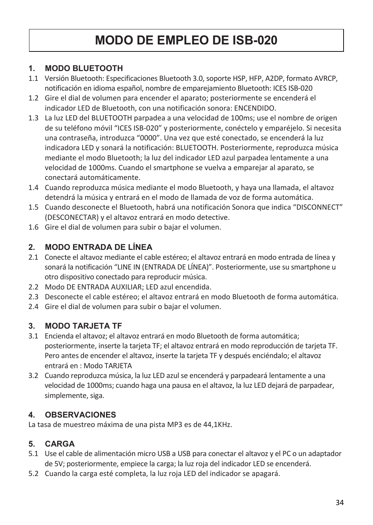### **MODO DE EMPLEO DE ISB-020**

#### **1. MODO BLUETOOTH**

- 1.1 Versión Bluetooth: Especificaciones Bluetooth 3.0, soporte HSP, HFP, A2DP, formato AVRCP, notificación en idioma español, nombre de emparejamiento Bluetooth: ICES ISB-020
- 1.2 Gire el dial de volumen para encender el aparato; posteriormente se encenderá el indicador LED de Bluetooth, con una notificación sonora: ENCENDIDO.
- 1.3 La luz LED del BLUETOOTH parpadea a una velocidad de 100ms; use el nombre de origen de su teléfono móvil "ICES ISB-020" y posteriormente, conéctelo y emparéjelo. Si necesita una contraseña, introduzca "0000". Una vez que esté conectado, se encenderá la luz indicadora LED y sonará la notificación: BLUETOOTH. Posteriormente, reproduzca música mediante el modo Bluetooth; la luz del indicador LED azul parpadea lentamente a una velocidad de 1000ms. Cuando el smartphone se vuelva a emparejar al aparato, se conectará automáticamente.
- 1.4 Cuando reproduzca música mediante el modo Bluetooth, y haya una llamada, el altavoz detendrá la música y entrará en el modo de llamada de voz de forma automática.
- 1.5 Cuando desconecte el Bluetooth, habrá una notificación Sonora que indica "DISCONNECT" (DESCONECTAR) y el altavoz entrará en modo detective.
- 1.6 Gire el dial de volumen para subir o bajar el volumen.

#### **2. MODO ENTRADA DE LÍNEA**

- 2.1 Conecte el altavoz mediante el cable estéreo; el altavoz entrará en modo entrada de línea y sonará la notificación "LINE IN (ENTRADA DE LÍNEA)". Posteriormente, use su smartphone u otro dispositivo conectado para reproducir música.
- 2.2 Modo DE ENTRADA AUXILIAR; LED azul encendida.
- 2.3 Desconecte el cable estéreo; el altavoz entrará en modo Bluetooth de forma automática.
- 2.4 Gire el dial de volumen para subir o bajar el volumen.

#### **3. MODO TARJETA TF**

- 3.1 Encienda el altavoz; el altavoz entrará en modo Bluetooth de forma automática; posteriormente, inserte la tarjeta TF; el altavoz entrará en modo reproducción de tarjeta TF. Pero antes de encender el altavoz, inserte la tarjeta TF y después enciéndalo; el altavoz entrará en : Modo TARJETA
- 3.2 Cuando reproduzca música, la luz LED azul se encenderá y parpadeará lentamente a una velocidad de 1000ms; cuando haga una pausa en el altavoz, la luz LED dejará de parpadear, simplemente, siga.

#### **4. OBSERVACIONES**

La tasa de muestreo máxima de una pista MP3 es de 44,1KHz.

#### **5. CARGA**

- 5.1 Use el cable de alimentación micro USB a USB para conectar el altavoz y el PC o un adaptador de 5V; posteriormente, empiece la carga; la luz roja del indicador LED se encenderá.
- 5.2 Cuando la carga esté completa, la luz roja LED del indicador se apagará.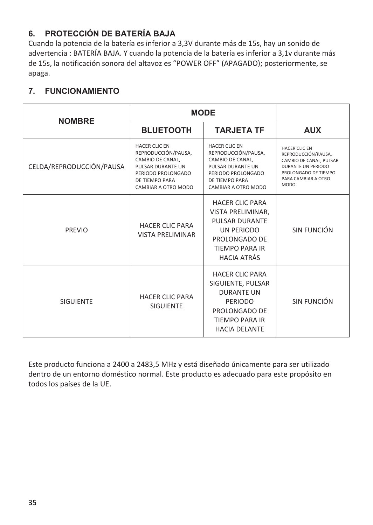#### **6. PROTECCIÓN DE BATERÍA BAJA**

Cuando la potencia de la batería es inferior a 3,3V durante más de 15s, hay un sonido de advertencia : BATERÍA BAJA. Y cuando la potencia de la batería es inferior a 3,1v durante más de 15s, la notificación sonora del altavoz es "POWER OFF" (APAGADO); posteriormente, se apaga.

#### **7. FUNCIONAMIENTO**

| <b>NOMBRE</b>            | <b>MODE</b>                                                                                                                                  |                                                                                                                                               |                                                                                                                                               |
|--------------------------|----------------------------------------------------------------------------------------------------------------------------------------------|-----------------------------------------------------------------------------------------------------------------------------------------------|-----------------------------------------------------------------------------------------------------------------------------------------------|
|                          | <b>BLUETOOTH</b>                                                                                                                             | <b>TARJETA TF</b>                                                                                                                             | <b>AUX</b>                                                                                                                                    |
| CELDA/REPRODUCCIÓN/PAUSA | HACER CLIC EN<br>REPRODUCCIÓN/PAUSA,<br>CAMBIO DE CANAL.<br>PULSAR DURANTE UN<br>PERIODO PROLONGADO<br>DE TIEMPO PARA<br>CAMBIAR A OTRO MODO | HACER CLIC EN<br>REPRODUCCIÓN/PAUSA,<br>CAMBIO DE CANAL.<br>PUI SAR DURANTE UN<br>PERIODO PROLONGADO<br>DE TIEMPO PARA<br>CAMBIAR A OTRO MODO | HACER CLIC EN<br>REPRODUCCIÓN/PAUSA.<br>CAMBIO DE CANAL, PULSAR<br>DURANTE UN PERIODO<br>PROLONGADO DE TIEMPO<br>PARA CAMBIAR A OTRO<br>MODO. |
| PREVIO                   | <b>HACER CLIC PARA</b><br><b>VISTA PRELIMINAR</b>                                                                                            | <b>HACFR CLIC PARA</b><br>VISTA PRELIMINAR,<br>PULSAR DURANTF<br>UN PERIODO<br>PROLONGADO DE<br><b>TIFMPO PARA IR</b><br><b>HACIA ATRÁS</b>   | SIN FUNCIÓN                                                                                                                                   |
| <b>SIGUIFNTF</b>         | <b>HACFR CLIC PARA</b><br><b>SIGUIFNTF</b>                                                                                                   | <b>HACFR CLIC PARA</b><br>SIGUIENTE, PULSAR<br><b>DURANTF UN</b><br>PERIODO<br>PROLONGADO DE<br><b>TIFMPO PARA IR</b><br><b>HACIA DFLANTF</b> | SIN FUNCIÓN                                                                                                                                   |

Este producto funciona a 2400 a 2483,5 MHz y está diseñado únicamente para ser utilizado dentro de un entorno doméstico normal. Este producto es adecuado para este propósito en todos los países de la UE.